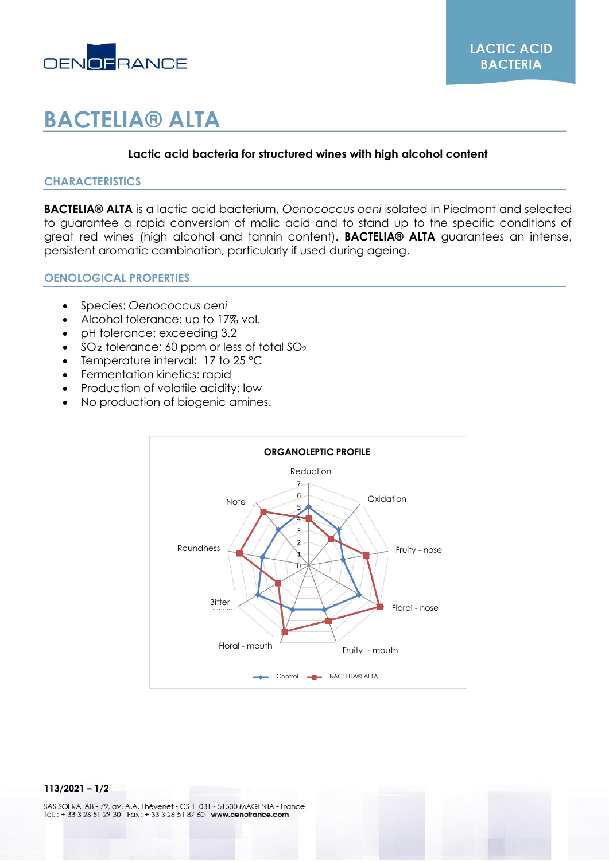

# **BACTELIA® ALTA**

## **Lactic acid bacteria for structured wines with high alcohol content**

## **CHARACTERISTICS**

**BACTELIA® ALTA** is a lactic acid bacterium, *Oenococcus oeni* isolated in Piedmont and selected to guarantee a rapid conversion of malic acid and to stand up to the specific conditions of great red wines (high alcohol and tannin content). **BACTELIA® ALTA** guarantees an intense, persistent aromatic combination, particularly if used during ageing.

#### **OENOLOGICAL PROPERTIES**

- Species: *Oenococcus oeni*
- Alcohol tolerance: up to 17% vol.
- pH tolerance: exceeding 3.2
- $\bullet$  SO<sub>2</sub> tolerance: 60 ppm or less of total SO<sub>2</sub>
- Temperature interval: 17 to 25 °C
- Fermentation kinetics: rapid
- Production of volatile acidity: low
- No production of biogenic amines.



#### **113/2021 – 1/2**

SAS SOFRALAB - 79, av. A.A. Thévenet - CS 11031 - 51530 MAGENTA - France<br>Tél. : + 33 3 26 51 29 30 - Fax : + 33 3 26 51 87 60 - www.oenofrance.com